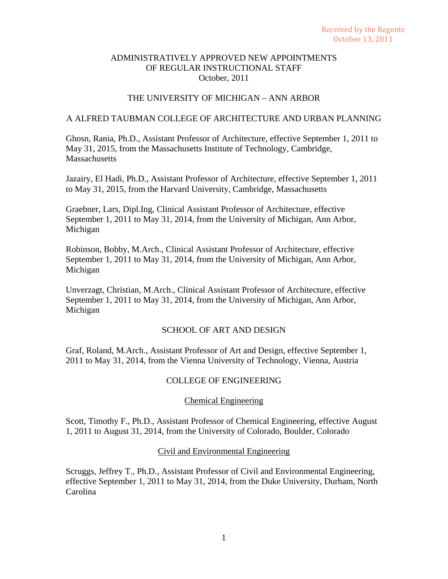# THE UNIVERSITY OF MICHIGAN – ANN ARBOR

### A ALFRED TAUBMAN COLLEGE OF ARCHITECTURE AND URBAN PLANNING

Ghosn, Rania, Ph.D., Assistant Professor of Architecture, effective September 1, 2011 to May 31, 2015, from the Massachusetts Institute of Technology, Cambridge, **Massachusetts** 

Jazairy, El Hadi, Ph.D., Assistant Professor of Architecture, effective September 1, 2011 to May 31, 2015, from the Harvard University, Cambridge, Massachusetts

Graebner, Lars, Dipl.Ing, Clinical Assistant Professor of Architecture, effective September 1, 2011 to May 31, 2014, from the University of Michigan, Ann Arbor, Michigan

Robinson, Bobby, M.Arch., Clinical Assistant Professor of Architecture, effective September 1, 2011 to May 31, 2014, from the University of Michigan, Ann Arbor, Michigan

Unverzagt, Christian, M.Arch., Clinical Assistant Professor of Architecture, effective September 1, 2011 to May 31, 2014, from the University of Michigan, Ann Arbor, Michigan

## SCHOOL OF ART AND DESIGN

Graf, Roland, M.Arch., Assistant Professor of Art and Design, effective September 1, 2011 to May 31, 2014, from the Vienna University of Technology, Vienna, Austria

## COLLEGE OF ENGINEERING

## Chemical Engineering

Scott, Timothy F., Ph.D., Assistant Professor of Chemical Engineering, effective August 1, 2011 to August 31, 2014, from the University of Colorado, Boulder, Colorado

### Civil and Environmental Engineering

Scruggs, Jeffrey T., Ph.D., Assistant Professor of Civil and Environmental Engineering, effective September 1, 2011 to May 31, 2014, from the Duke University, Durham, North Carolina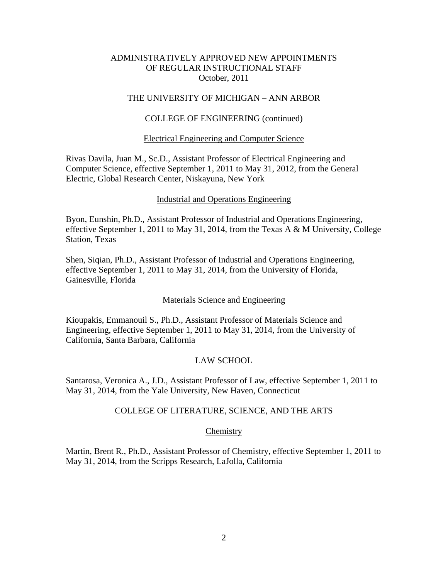### THE UNIVERSITY OF MICHIGAN – ANN ARBOR

### COLLEGE OF ENGINEERING (continued)

#### Electrical Engineering and Computer Science

Rivas Davila, Juan M., Sc.D., Assistant Professor of Electrical Engineering and Computer Science, effective September 1, 2011 to May 31, 2012, from the General Electric, Global Research Center, Niskayuna, New York

### Industrial and Operations Engineering

Byon, Eunshin, Ph.D., Assistant Professor of Industrial and Operations Engineering, effective September 1, 2011 to May 31, 2014, from the Texas A & M University, College Station, Texas

Shen, Siqian, Ph.D., Assistant Professor of Industrial and Operations Engineering, effective September 1, 2011 to May 31, 2014, from the University of Florida, Gainesville, Florida

#### Materials Science and Engineering

Kioupakis, Emmanouil S., Ph.D., Assistant Professor of Materials Science and Engineering, effective September 1, 2011 to May 31, 2014, from the University of California, Santa Barbara, California

### LAW SCHOOL

Santarosa, Veronica A., J.D., Assistant Professor of Law, effective September 1, 2011 to May 31, 2014, from the Yale University, New Haven, Connecticut

### COLLEGE OF LITERATURE, SCIENCE, AND THE ARTS

### Chemistry

Martin, Brent R., Ph.D., Assistant Professor of Chemistry, effective September 1, 2011 to May 31, 2014, from the Scripps Research, LaJolla, California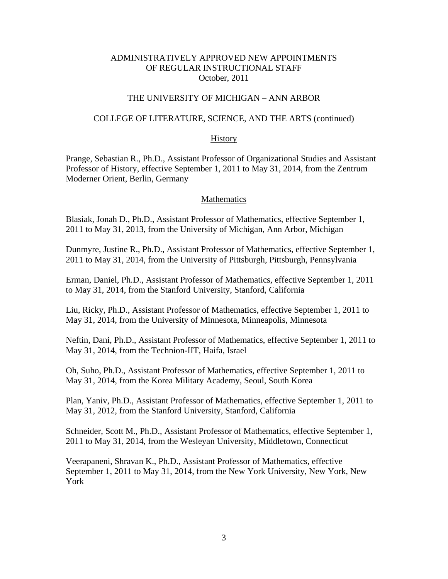### THE UNIVERSITY OF MICHIGAN – ANN ARBOR

### COLLEGE OF LITERATURE, SCIENCE, AND THE ARTS (continued)

### **History**

Prange, Sebastian R., Ph.D., Assistant Professor of Organizational Studies and Assistant Professor of History, effective September 1, 2011 to May 31, 2014, from the Zentrum Moderner Orient, Berlin, Germany

### **Mathematics**

Blasiak, Jonah D., Ph.D., Assistant Professor of Mathematics, effective September 1, 2011 to May 31, 2013, from the University of Michigan, Ann Arbor, Michigan

Dunmyre, Justine R., Ph.D., Assistant Professor of Mathematics, effective September 1, 2011 to May 31, 2014, from the University of Pittsburgh, Pittsburgh, Pennsylvania

Erman, Daniel, Ph.D., Assistant Professor of Mathematics, effective September 1, 2011 to May 31, 2014, from the Stanford University, Stanford, California

Liu, Ricky, Ph.D., Assistant Professor of Mathematics, effective September 1, 2011 to May 31, 2014, from the University of Minnesota, Minneapolis, Minnesota

Neftin, Dani, Ph.D., Assistant Professor of Mathematics, effective September 1, 2011 to May 31, 2014, from the Technion-IIT, Haifa, Israel

Oh, Suho, Ph.D., Assistant Professor of Mathematics, effective September 1, 2011 to May 31, 2014, from the Korea Military Academy, Seoul, South Korea

Plan, Yaniv, Ph.D., Assistant Professor of Mathematics, effective September 1, 2011 to May 31, 2012, from the Stanford University, Stanford, California

Schneider, Scott M., Ph.D., Assistant Professor of Mathematics, effective September 1, 2011 to May 31, 2014, from the Wesleyan University, Middletown, Connecticut

Veerapaneni, Shravan K., Ph.D., Assistant Professor of Mathematics, effective September 1, 2011 to May 31, 2014, from the New York University, New York, New York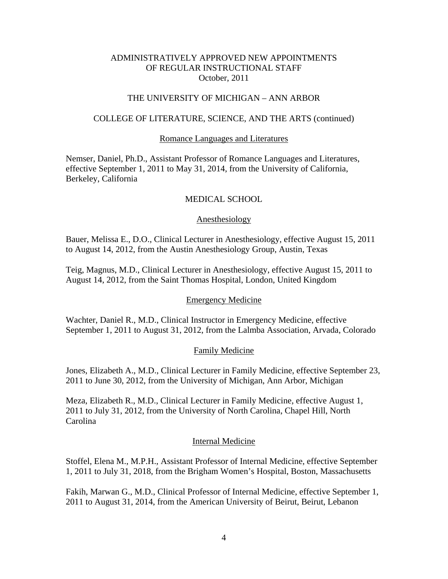### THE UNIVERSITY OF MICHIGAN – ANN ARBOR

### COLLEGE OF LITERATURE, SCIENCE, AND THE ARTS (continued)

#### Romance Languages and Literatures

Nemser, Daniel, Ph.D., Assistant Professor of Romance Languages and Literatures, effective September 1, 2011 to May 31, 2014, from the University of California, Berkeley, California

### MEDICAL SCHOOL

#### Anesthesiology

Bauer, Melissa E., D.O., Clinical Lecturer in Anesthesiology, effective August 15, 2011 to August 14, 2012, from the Austin Anesthesiology Group, Austin, Texas

Teig, Magnus, M.D., Clinical Lecturer in Anesthesiology, effective August 15, 2011 to August 14, 2012, from the Saint Thomas Hospital, London, United Kingdom

#### Emergency Medicine

Wachter, Daniel R., M.D., Clinical Instructor in Emergency Medicine, effective September 1, 2011 to August 31, 2012, from the Lalmba Association, Arvada, Colorado

#### Family Medicine

Jones, Elizabeth A., M.D., Clinical Lecturer in Family Medicine, effective September 23, 2011 to June 30, 2012, from the University of Michigan, Ann Arbor, Michigan

Meza, Elizabeth R., M.D., Clinical Lecturer in Family Medicine, effective August 1, 2011 to July 31, 2012, from the University of North Carolina, Chapel Hill, North Carolina

#### Internal Medicine

Stoffel, Elena M., M.P.H., Assistant Professor of Internal Medicine, effective September 1, 2011 to July 31, 2018, from the Brigham Women's Hospital, Boston, Massachusetts

Fakih, Marwan G., M.D., Clinical Professor of Internal Medicine, effective September 1, 2011 to August 31, 2014, from the American University of Beirut, Beirut, Lebanon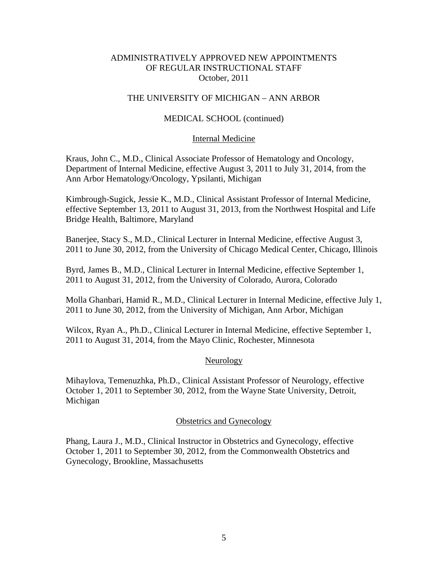## THE UNIVERSITY OF MICHIGAN – ANN ARBOR

### MEDICAL SCHOOL (continued)

### Internal Medicine

Kraus, John C., M.D., Clinical Associate Professor of Hematology and Oncology, Department of Internal Medicine, effective August 3, 2011 to July 31, 2014, from the Ann Arbor Hematology/Oncology, Ypsilanti, Michigan

Kimbrough-Sugick, Jessie K., M.D., Clinical Assistant Professor of Internal Medicine, effective September 13, 2011 to August 31, 2013, from the Northwest Hospital and Life Bridge Health, Baltimore, Maryland

Banerjee, Stacy S., M.D., Clinical Lecturer in Internal Medicine, effective August 3, 2011 to June 30, 2012, from the University of Chicago Medical Center, Chicago, Illinois

Byrd, James B., M.D., Clinical Lecturer in Internal Medicine, effective September 1, 2011 to August 31, 2012, from the University of Colorado, Aurora, Colorado

Molla Ghanbari, Hamid R., M.D., Clinical Lecturer in Internal Medicine, effective July 1, 2011 to June 30, 2012, from the University of Michigan, Ann Arbor, Michigan

Wilcox, Ryan A., Ph.D., Clinical Lecturer in Internal Medicine, effective September 1, 2011 to August 31, 2014, from the Mayo Clinic, Rochester, Minnesota

### Neurology

Mihaylova, Temenuzhka, Ph.D., Clinical Assistant Professor of Neurology, effective October 1, 2011 to September 30, 2012, from the Wayne State University, Detroit, Michigan

### Obstetrics and Gynecology

Phang, Laura J., M.D., Clinical Instructor in Obstetrics and Gynecology, effective October 1, 2011 to September 30, 2012, from the Commonwealth Obstetrics and Gynecology, Brookline, Massachusetts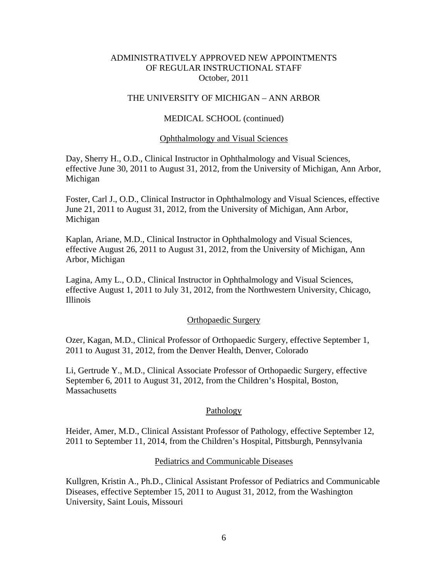### THE UNIVERSITY OF MICHIGAN – ANN ARBOR

### MEDICAL SCHOOL (continued)

### Ophthalmology and Visual Sciences

Day, Sherry H., O.D., Clinical Instructor in Ophthalmology and Visual Sciences, effective June 30, 2011 to August 31, 2012, from the University of Michigan, Ann Arbor, Michigan

Foster, Carl J., O.D., Clinical Instructor in Ophthalmology and Visual Sciences, effective June 21, 2011 to August 31, 2012, from the University of Michigan, Ann Arbor, Michigan

Kaplan, Ariane, M.D., Clinical Instructor in Ophthalmology and Visual Sciences, effective August 26, 2011 to August 31, 2012, from the University of Michigan, Ann Arbor, Michigan

Lagina, Amy L., O.D., Clinical Instructor in Ophthalmology and Visual Sciences, effective August 1, 2011 to July 31, 2012, from the Northwestern University, Chicago, Illinois

#### Orthopaedic Surgery

Ozer, Kagan, M.D., Clinical Professor of Orthopaedic Surgery, effective September 1, 2011 to August 31, 2012, from the Denver Health, Denver, Colorado

Li, Gertrude Y., M.D., Clinical Associate Professor of Orthopaedic Surgery, effective September 6, 2011 to August 31, 2012, from the Children's Hospital, Boston, **Massachusetts** 

### Pathology

Heider, Amer, M.D., Clinical Assistant Professor of Pathology, effective September 12, 2011 to September 11, 2014, from the Children's Hospital, Pittsburgh, Pennsylvania

### Pediatrics and Communicable Diseases

Kullgren, Kristin A., Ph.D., Clinical Assistant Professor of Pediatrics and Communicable Diseases, effective September 15, 2011 to August 31, 2012, from the Washington University, Saint Louis, Missouri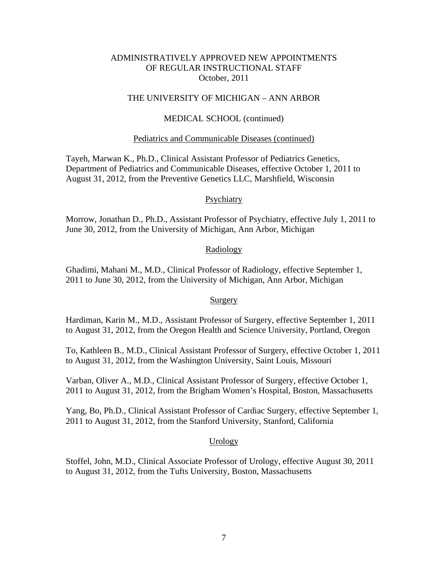### THE UNIVERSITY OF MICHIGAN – ANN ARBOR

### MEDICAL SCHOOL (continued)

### Pediatrics and Communicable Diseases (continued)

Tayeh, Marwan K., Ph.D., Clinical Assistant Professor of Pediatrics Genetics, Department of Pediatrics and Communicable Diseases, effective October 1, 2011 to August 31, 2012, from the Preventive Genetics LLC, Marshfield, Wisconsin

## **Psychiatry**

Morrow, Jonathan D., Ph.D., Assistant Professor of Psychiatry, effective July 1, 2011 to June 30, 2012, from the University of Michigan, Ann Arbor, Michigan

### Radiology

Ghadimi, Mahani M., M.D., Clinical Professor of Radiology, effective September 1, 2011 to June 30, 2012, from the University of Michigan, Ann Arbor, Michigan

### Surgery

Hardiman, Karin M., M.D., Assistant Professor of Surgery, effective September 1, 2011 to August 31, 2012, from the Oregon Health and Science University, Portland, Oregon

To, Kathleen B., M.D., Clinical Assistant Professor of Surgery, effective October 1, 2011 to August 31, 2012, from the Washington University, Saint Louis, Missouri

Varban, Oliver A., M.D., Clinical Assistant Professor of Surgery, effective October 1, 2011 to August 31, 2012, from the Brigham Women's Hospital, Boston, Massachusetts

Yang, Bo, Ph.D., Clinical Assistant Professor of Cardiac Surgery, effective September 1, 2011 to August 31, 2012, from the Stanford University, Stanford, California

#### Urology

Stoffel, John, M.D., Clinical Associate Professor of Urology, effective August 30, 2011 to August 31, 2012, from the Tufts University, Boston, Massachusetts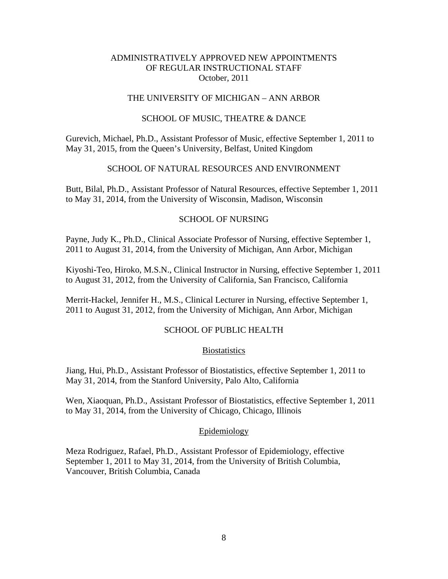### THE UNIVERSITY OF MICHIGAN – ANN ARBOR

### SCHOOL OF MUSIC, THEATRE & DANCE

Gurevich, Michael, Ph.D., Assistant Professor of Music, effective September 1, 2011 to May 31, 2015, from the Queen's University, Belfast, United Kingdom

### SCHOOL OF NATURAL RESOURCES AND ENVIRONMENT

Butt, Bilal, Ph.D., Assistant Professor of Natural Resources, effective September 1, 2011 to May 31, 2014, from the University of Wisconsin, Madison, Wisconsin

### SCHOOL OF NURSING

Payne, Judy K., Ph.D., Clinical Associate Professor of Nursing, effective September 1, 2011 to August 31, 2014, from the University of Michigan, Ann Arbor, Michigan

Kiyoshi-Teo, Hiroko, M.S.N., Clinical Instructor in Nursing, effective September 1, 2011 to August 31, 2012, from the University of California, San Francisco, California

Merrit-Hackel, Jennifer H., M.S., Clinical Lecturer in Nursing, effective September 1, 2011 to August 31, 2012, from the University of Michigan, Ann Arbor, Michigan

### SCHOOL OF PUBLIC HEALTH

#### **Biostatistics**

Jiang, Hui, Ph.D., Assistant Professor of Biostatistics, effective September 1, 2011 to May 31, 2014, from the Stanford University, Palo Alto, California

Wen, Xiaoquan, Ph.D., Assistant Professor of Biostatistics, effective September 1, 2011 to May 31, 2014, from the University of Chicago, Chicago, Illinois

### Epidemiology

Meza Rodriguez, Rafael, Ph.D., Assistant Professor of Epidemiology, effective September 1, 2011 to May 31, 2014, from the University of British Columbia, Vancouver, British Columbia, Canada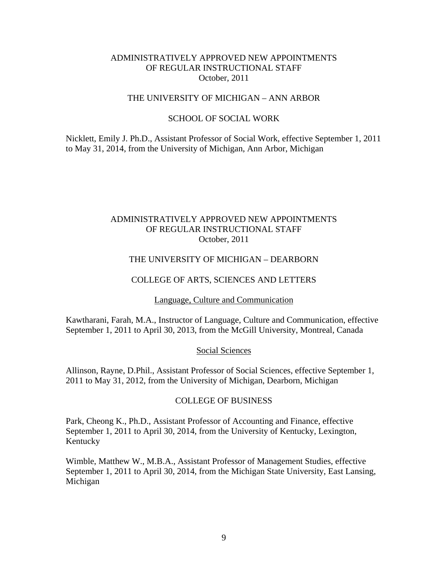## THE UNIVERSITY OF MICHIGAN – ANN ARBOR

### SCHOOL OF SOCIAL WORK

Nicklett, Emily J. Ph.D., Assistant Professor of Social Work, effective September 1, 2011 to May 31, 2014, from the University of Michigan, Ann Arbor, Michigan

## ADMINISTRATIVELY APPROVED NEW APPOINTMENTS OF REGULAR INSTRUCTIONAL STAFF October, 2011

### THE UNIVERSITY OF MICHIGAN – DEARBORN

### COLLEGE OF ARTS, SCIENCES AND LETTERS

#### Language, Culture and Communication

Kawtharani, Farah, M.A., Instructor of Language, Culture and Communication, effective September 1, 2011 to April 30, 2013, from the McGill University, Montreal, Canada

#### Social Sciences

Allinson, Rayne, D.Phil., Assistant Professor of Social Sciences, effective September 1, 2011 to May 31, 2012, from the University of Michigan, Dearborn, Michigan

#### COLLEGE OF BUSINESS

Park, Cheong K., Ph.D., Assistant Professor of Accounting and Finance, effective September 1, 2011 to April 30, 2014, from the University of Kentucky, Lexington, Kentucky

Wimble, Matthew W., M.B.A., Assistant Professor of Management Studies, effective September 1, 2011 to April 30, 2014, from the Michigan State University, East Lansing, Michigan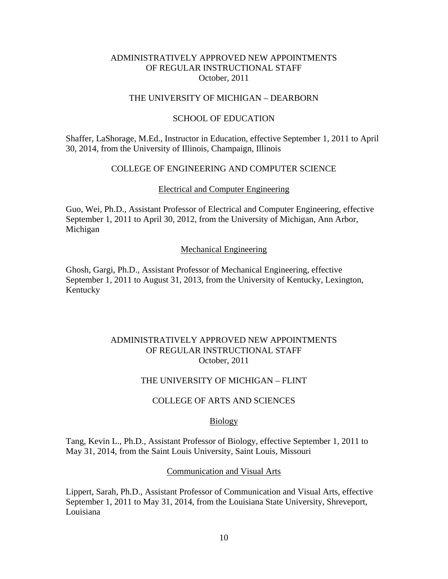# THE UNIVERSITY OF MICHIGAN – DEARBORN

### SCHOOL OF EDUCATION

Shaffer, LaShorage, M.Ed., Instructor in Education, effective September 1, 2011 to April 30, 2014, from the University of Illinois, Champaign, Illinois

## COLLEGE OF ENGINEERING AND COMPUTER SCIENCE

### Electrical and Computer Engineering

Guo, Wei, Ph.D., Assistant Professor of Electrical and Computer Engineering, effective September 1, 2011 to April 30, 2012, from the University of Michigan, Ann Arbor, Michigan

### Mechanical Engineering

Ghosh, Gargi, Ph.D., Assistant Professor of Mechanical Engineering, effective September 1, 2011 to August 31, 2013, from the University of Kentucky, Lexington, Kentucky

## ADMINISTRATIVELY APPROVED NEW APPOINTMENTS OF REGULAR INSTRUCTIONAL STAFF October, 2011

#### THE UNIVERSITY OF MICHIGAN – FLINT

### COLLEGE OF ARTS AND SCIENCES

#### **Biology**

Tang, Kevin L., Ph.D., Assistant Professor of Biology, effective September 1, 2011 to May 31, 2014, from the Saint Louis University, Saint Louis, Missouri

### Communication and Visual Arts

Lippert, Sarah, Ph.D., Assistant Professor of Communication and Visual Arts, effective September 1, 2011 to May 31, 2014, from the Louisiana State University, Shreveport, Louisiana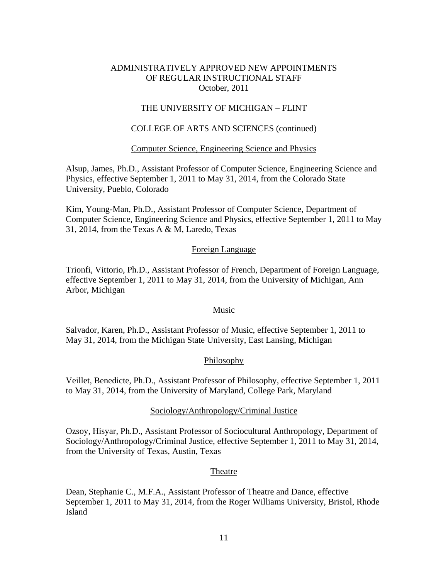# THE UNIVERSITY OF MICHIGAN – FLINT

# COLLEGE OF ARTS AND SCIENCES (continued)

## Computer Science, Engineering Science and Physics

Alsup, James, Ph.D., Assistant Professor of Computer Science, Engineering Science and Physics, effective September 1, 2011 to May 31, 2014, from the Colorado State University, Pueblo, Colorado

Kim, Young-Man, Ph.D., Assistant Professor of Computer Science, Department of Computer Science, Engineering Science and Physics, effective September 1, 2011 to May 31, 2014, from the Texas A & M, Laredo, Texas

## Foreign Language

Trionfi, Vittorio, Ph.D., Assistant Professor of French, Department of Foreign Language, effective September 1, 2011 to May 31, 2014, from the University of Michigan, Ann Arbor, Michigan

## Music

Salvador, Karen, Ph.D., Assistant Professor of Music, effective September 1, 2011 to May 31, 2014, from the Michigan State University, East Lansing, Michigan

## Philosophy

Veillet, Benedicte, Ph.D., Assistant Professor of Philosophy, effective September 1, 2011 to May 31, 2014, from the University of Maryland, College Park, Maryland

### Sociology/Anthropology/Criminal Justice

Ozsoy, Hisyar, Ph.D., Assistant Professor of Sociocultural Anthropology, Department of Sociology/Anthropology/Criminal Justice, effective September 1, 2011 to May 31, 2014, from the University of Texas, Austin, Texas

## Theatre

Dean, Stephanie C., M.F.A., Assistant Professor of Theatre and Dance, effective September 1, 2011 to May 31, 2014, from the Roger Williams University, Bristol, Rhode Island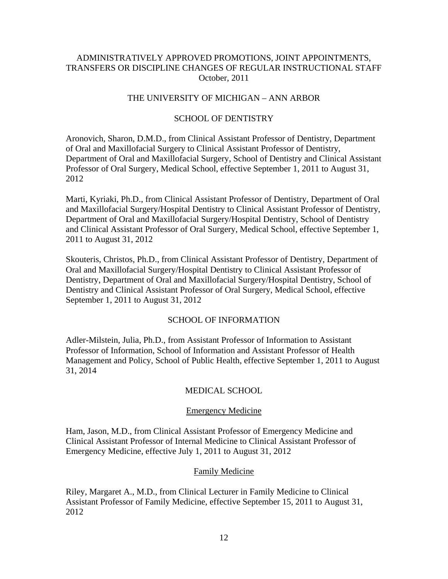# ADMINISTRATIVELY APPROVED PROMOTIONS, JOINT APPOINTMENTS, TRANSFERS OR DISCIPLINE CHANGES OF REGULAR INSTRUCTIONAL STAFF October, 2011

# THE UNIVERSITY OF MICHIGAN – ANN ARBOR

# SCHOOL OF DENTISTRY

Aronovich, Sharon, D.M.D., from Clinical Assistant Professor of Dentistry, Department of Oral and Maxillofacial Surgery to Clinical Assistant Professor of Dentistry, Department of Oral and Maxillofacial Surgery, School of Dentistry and Clinical Assistant Professor of Oral Surgery, Medical School, effective September 1, 2011 to August 31, 2012

Marti, Kyriaki, Ph.D., from Clinical Assistant Professor of Dentistry, Department of Oral and Maxillofacial Surgery/Hospital Dentistry to Clinical Assistant Professor of Dentistry, Department of Oral and Maxillofacial Surgery/Hospital Dentistry, School of Dentistry and Clinical Assistant Professor of Oral Surgery, Medical School, effective September 1, 2011 to August 31, 2012

Skouteris, Christos, Ph.D., from Clinical Assistant Professor of Dentistry, Department of Oral and Maxillofacial Surgery/Hospital Dentistry to Clinical Assistant Professor of Dentistry, Department of Oral and Maxillofacial Surgery/Hospital Dentistry, School of Dentistry and Clinical Assistant Professor of Oral Surgery, Medical School, effective September 1, 2011 to August 31, 2012

## SCHOOL OF INFORMATION

Adler-Milstein, Julia, Ph.D., from Assistant Professor of Information to Assistant Professor of Information, School of Information and Assistant Professor of Health Management and Policy, School of Public Health, effective September 1, 2011 to August 31, 2014

## MEDICAL SCHOOL

### Emergency Medicine

Ham, Jason, M.D., from Clinical Assistant Professor of Emergency Medicine and Clinical Assistant Professor of Internal Medicine to Clinical Assistant Professor of Emergency Medicine, effective July 1, 2011 to August 31, 2012

### Family Medicine

Riley, Margaret A., M.D., from Clinical Lecturer in Family Medicine to Clinical Assistant Professor of Family Medicine, effective September 15, 2011 to August 31, 2012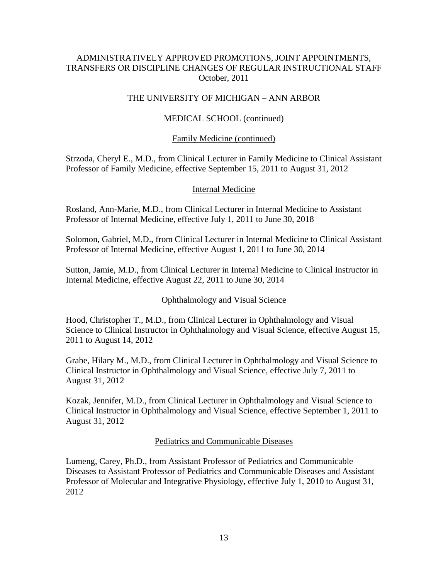# ADMINISTRATIVELY APPROVED PROMOTIONS, JOINT APPOINTMENTS, TRANSFERS OR DISCIPLINE CHANGES OF REGULAR INSTRUCTIONAL STAFF October, 2011

# THE UNIVERSITY OF MICHIGAN – ANN ARBOR

# MEDICAL SCHOOL (continued)

## Family Medicine (continued)

Strzoda, Cheryl E., M.D., from Clinical Lecturer in Family Medicine to Clinical Assistant Professor of Family Medicine, effective September 15, 2011 to August 31, 2012

## Internal Medicine

Rosland, Ann-Marie, M.D., from Clinical Lecturer in Internal Medicine to Assistant Professor of Internal Medicine, effective July 1, 2011 to June 30, 2018

Solomon, Gabriel, M.D., from Clinical Lecturer in Internal Medicine to Clinical Assistant Professor of Internal Medicine, effective August 1, 2011 to June 30, 2014

Sutton, Jamie, M.D., from Clinical Lecturer in Internal Medicine to Clinical Instructor in Internal Medicine, effective August 22, 2011 to June 30, 2014

## Ophthalmology and Visual Science

Hood, Christopher T., M.D., from Clinical Lecturer in Ophthalmology and Visual Science to Clinical Instructor in Ophthalmology and Visual Science, effective August 15, 2011 to August 14, 2012

Grabe, Hilary M., M.D., from Clinical Lecturer in Ophthalmology and Visual Science to Clinical Instructor in Ophthalmology and Visual Science, effective July 7, 2011 to August 31, 2012

Kozak, Jennifer, M.D., from Clinical Lecturer in Ophthalmology and Visual Science to Clinical Instructor in Ophthalmology and Visual Science, effective September 1, 2011 to August 31, 2012

## Pediatrics and Communicable Diseases

Lumeng, Carey, Ph.D., from Assistant Professor of Pediatrics and Communicable Diseases to Assistant Professor of Pediatrics and Communicable Diseases and Assistant Professor of Molecular and Integrative Physiology, effective July 1, 2010 to August 31, 2012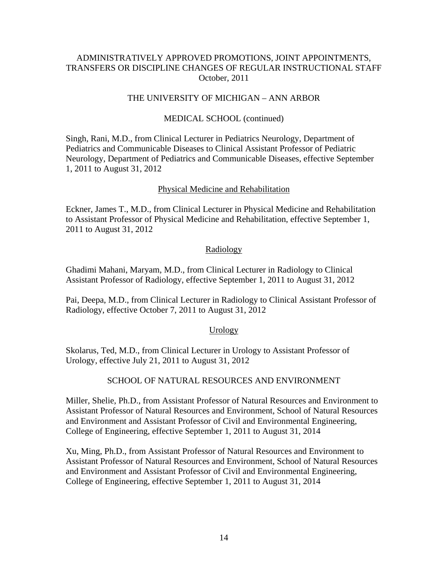# ADMINISTRATIVELY APPROVED PROMOTIONS, JOINT APPOINTMENTS, TRANSFERS OR DISCIPLINE CHANGES OF REGULAR INSTRUCTIONAL STAFF October, 2011

## THE UNIVERSITY OF MICHIGAN – ANN ARBOR

# MEDICAL SCHOOL (continued)

Singh, Rani, M.D., from Clinical Lecturer in Pediatrics Neurology, Department of Pediatrics and Communicable Diseases to Clinical Assistant Professor of Pediatric Neurology, Department of Pediatrics and Communicable Diseases, effective September 1, 2011 to August 31, 2012

## Physical Medicine and Rehabilitation

Eckner, James T., M.D., from Clinical Lecturer in Physical Medicine and Rehabilitation to Assistant Professor of Physical Medicine and Rehabilitation, effective September 1, 2011 to August 31, 2012

# Radiology

Ghadimi Mahani, Maryam, M.D., from Clinical Lecturer in Radiology to Clinical Assistant Professor of Radiology, effective September 1, 2011 to August 31, 2012

Pai, Deepa, M.D., from Clinical Lecturer in Radiology to Clinical Assistant Professor of Radiology, effective October 7, 2011 to August 31, 2012

## Urology

Skolarus, Ted, M.D., from Clinical Lecturer in Urology to Assistant Professor of Urology, effective July 21, 2011 to August 31, 2012

## SCHOOL OF NATURAL RESOURCES AND ENVIRONMENT

Miller, Shelie, Ph.D., from Assistant Professor of Natural Resources and Environment to Assistant Professor of Natural Resources and Environment, School of Natural Resources and Environment and Assistant Professor of Civil and Environmental Engineering, College of Engineering, effective September 1, 2011 to August 31, 2014

Xu, Ming, Ph.D., from Assistant Professor of Natural Resources and Environment to Assistant Professor of Natural Resources and Environment, School of Natural Resources and Environment and Assistant Professor of Civil and Environmental Engineering, College of Engineering, effective September 1, 2011 to August 31, 2014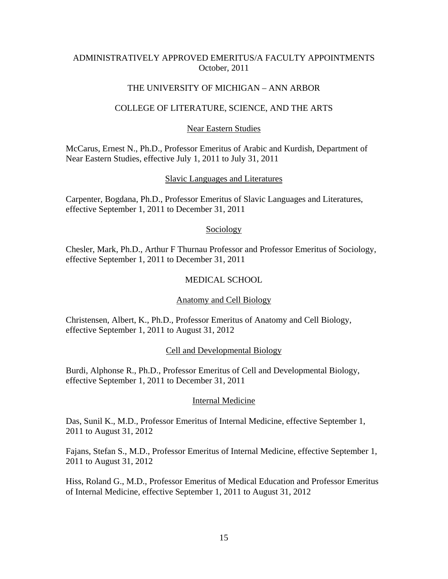# THE UNIVERSITY OF MICHIGAN – ANN ARBOR

## COLLEGE OF LITERATURE, SCIENCE, AND THE ARTS

### Near Eastern Studies

McCarus, Ernest N., Ph.D., Professor Emeritus of Arabic and Kurdish, Department of Near Eastern Studies, effective July 1, 2011 to July 31, 2011

### Slavic Languages and Literatures

Carpenter, Bogdana, Ph.D., Professor Emeritus of Slavic Languages and Literatures, effective September 1, 2011 to December 31, 2011

### Sociology

Chesler, Mark, Ph.D., Arthur F Thurnau Professor and Professor Emeritus of Sociology, effective September 1, 2011 to December 31, 2011

### MEDICAL SCHOOL

#### Anatomy and Cell Biology

Christensen, Albert, K., Ph.D., Professor Emeritus of Anatomy and Cell Biology, effective September 1, 2011 to August 31, 2012

#### Cell and Developmental Biology

Burdi, Alphonse R., Ph.D., Professor Emeritus of Cell and Developmental Biology, effective September 1, 2011 to December 31, 2011

### Internal Medicine

Das, Sunil K., M.D., Professor Emeritus of Internal Medicine, effective September 1, 2011 to August 31, 2012

Fajans, Stefan S., M.D., Professor Emeritus of Internal Medicine, effective September 1, 2011 to August 31, 2012

Hiss, Roland G., M.D., Professor Emeritus of Medical Education and Professor Emeritus of Internal Medicine, effective September 1, 2011 to August 31, 2012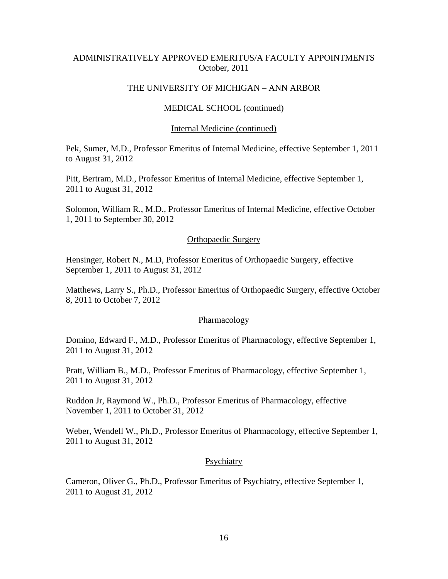### THE UNIVERSITY OF MICHIGAN – ANN ARBOR

### MEDICAL SCHOOL (continued)

### Internal Medicine (continued)

Pek, Sumer, M.D., Professor Emeritus of Internal Medicine, effective September 1, 2011 to August 31, 2012

Pitt, Bertram, M.D., Professor Emeritus of Internal Medicine, effective September 1, 2011 to August 31, 2012

Solomon, William R., M.D., Professor Emeritus of Internal Medicine, effective October 1, 2011 to September 30, 2012

### Orthopaedic Surgery

Hensinger, Robert N., M.D, Professor Emeritus of Orthopaedic Surgery, effective September 1, 2011 to August 31, 2012

Matthews, Larry S., Ph.D., Professor Emeritus of Orthopaedic Surgery, effective October 8, 2011 to October 7, 2012

### Pharmacology

Domino, Edward F., M.D., Professor Emeritus of Pharmacology, effective September 1, 2011 to August 31, 2012

Pratt, William B., M.D., Professor Emeritus of Pharmacology, effective September 1, 2011 to August 31, 2012

Ruddon Jr, Raymond W., Ph.D., Professor Emeritus of Pharmacology, effective November 1, 2011 to October 31, 2012

Weber, Wendell W., Ph.D., Professor Emeritus of Pharmacology, effective September 1, 2011 to August 31, 2012

### **Psychiatry**

Cameron, Oliver G., Ph.D., Professor Emeritus of Psychiatry, effective September 1, 2011 to August 31, 2012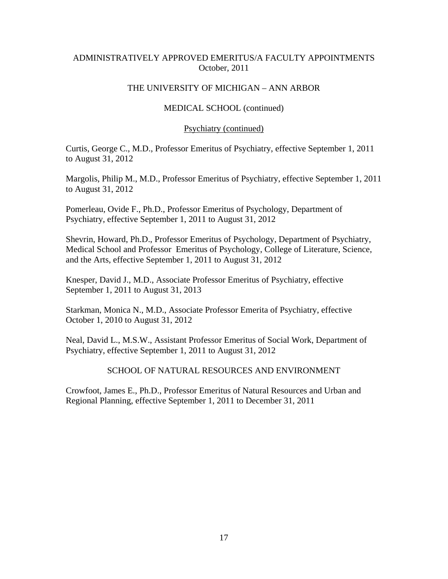## THE UNIVERSITY OF MICHIGAN – ANN ARBOR

### MEDICAL SCHOOL (continued)

### Psychiatry (continued)

Curtis, George C., M.D., Professor Emeritus of Psychiatry, effective September 1, 2011 to August 31, 2012

Margolis, Philip M., M.D., Professor Emeritus of Psychiatry, effective September 1, 2011 to August 31, 2012

Pomerleau, Ovide F., Ph.D., Professor Emeritus of Psychology, Department of Psychiatry, effective September 1, 2011 to August 31, 2012

Shevrin, Howard, Ph.D., Professor Emeritus of Psychology, Department of Psychiatry, Medical School and Professor Emeritus of Psychology, College of Literature, Science, and the Arts, effective September 1, 2011 to August 31, 2012

Knesper, David J., M.D., Associate Professor Emeritus of Psychiatry, effective September 1, 2011 to August 31, 2013

Starkman, Monica N., M.D., Associate Professor Emerita of Psychiatry, effective October 1, 2010 to August 31, 2012

Neal, David L., M.S.W., Assistant Professor Emeritus of Social Work, Department of Psychiatry, effective September 1, 2011 to August 31, 2012

### SCHOOL OF NATURAL RESOURCES AND ENVIRONMENT

Crowfoot, James E., Ph.D., Professor Emeritus of Natural Resources and Urban and Regional Planning, effective September 1, 2011 to December 31, 2011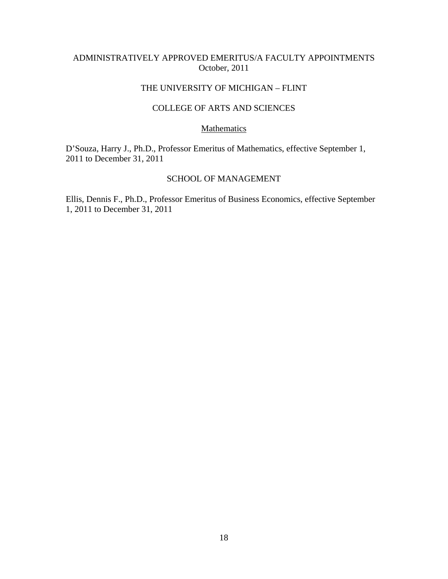## THE UNIVERSITY OF MICHIGAN – FLINT

# COLLEGE OF ARTS AND SCIENCES

### Mathematics

D'Souza, Harry J., Ph.D., Professor Emeritus of Mathematics, effective September 1, 2011 to December 31, 2011

# SCHOOL OF MANAGEMENT

Ellis, Dennis F., Ph.D., Professor Emeritus of Business Economics, effective September 1, 2011 to December 31, 2011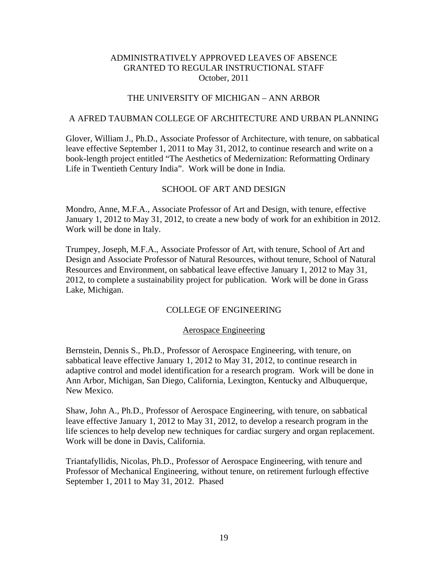## THE UNIVERSITY OF MICHIGAN – ANN ARBOR

### A AFRED TAUBMAN COLLEGE OF ARCHITECTURE AND URBAN PLANNING

Glover, William J., Ph.D., Associate Professor of Architecture, with tenure, on sabbatical leave effective September 1, 2011 to May 31, 2012, to continue research and write on a book-length project entitled "The Aesthetics of Medernization: Reformatting Ordinary Life in Twentieth Century India". Work will be done in India.

## SCHOOL OF ART AND DESIGN

Mondro, Anne, M.F.A., Associate Professor of Art and Design, with tenure, effective January 1, 2012 to May 31, 2012, to create a new body of work for an exhibition in 2012. Work will be done in Italy.

Trumpey, Joseph, M.F.A., Associate Professor of Art, with tenure, School of Art and Design and Associate Professor of Natural Resources, without tenure, School of Natural Resources and Environment, on sabbatical leave effective January 1, 2012 to May 31, 2012, to complete a sustainability project for publication. Work will be done in Grass Lake, Michigan.

## COLLEGE OF ENGINEERING

## Aerospace Engineering

Bernstein, Dennis S., Ph.D., Professor of Aerospace Engineering, with tenure, on sabbatical leave effective January 1, 2012 to May 31, 2012, to continue research in adaptive control and model identification for a research program. Work will be done in Ann Arbor, Michigan, San Diego, California, Lexington, Kentucky and Albuquerque, New Mexico.

Shaw, John A., Ph.D., Professor of Aerospace Engineering, with tenure, on sabbatical leave effective January 1, 2012 to May 31, 2012, to develop a research program in the life sciences to help develop new techniques for cardiac surgery and organ replacement. Work will be done in Davis, California.

Triantafyllidis, Nicolas, Ph.D., Professor of Aerospace Engineering, with tenure and Professor of Mechanical Engineering, without tenure, on retirement furlough effective September 1, 2011 to May 31, 2012. Phased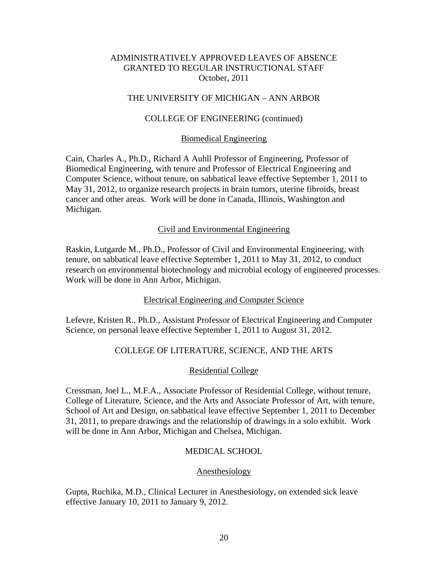### THE UNIVERSITY OF MICHIGAN – ANN ARBOR

### COLLEGE OF ENGINEERING (continued)

### Biomedical Engineering

Cain, Charles A., Ph.D., Richard A Auhll Professor of Engineering, Professor of Biomedical Engineering, with tenure and Professor of Electrical Engineering and Computer Science, without tenure, on sabbatical leave effective September 1, 2011 to May 31, 2012, to organize research projects in brain tumors, uterine fibroids, breast cancer and other areas. Work will be done in Canada, Illinois, Washington and Michigan.

### Civil and Environmental Engineering

Raskin, Lutgarde M., Ph.D., Professor of Civil and Environmental Engineering, with tenure, on sabbatical leave effective September 1, 2011 to May 31, 2012, to conduct research on environmental biotechnology and microbial ecology of engineered processes. Work will be done in Ann Arbor, Michigan.

### Electrical Engineering and Computer Science

Lefevre, Kristen R., Ph.D., Assistant Professor of Electrical Engineering and Computer Science, on personal leave effective September 1, 2011 to August 31, 2012.

### COLLEGE OF LITERATURE, SCIENCE, AND THE ARTS

### Residential College

Cressman, Joel L., M.F.A., Associate Professor of Residential College, without tenure, College of Literature, Science, and the Arts and Associate Professor of Art, with tenure, School of Art and Design, on sabbatical leave effective September 1, 2011 to December 31, 2011, to prepare drawings and the relationship of drawings in a solo exhibit. Work will be done in Ann Arbor, Michigan and Chelsea, Michigan.

### MEDICAL SCHOOL

#### Anesthesiology

Gupta, Ruchika, M.D., Clinical Lecturer in Anesthesiology, on extended sick leave effective January 10, 2011 to January 9, 2012.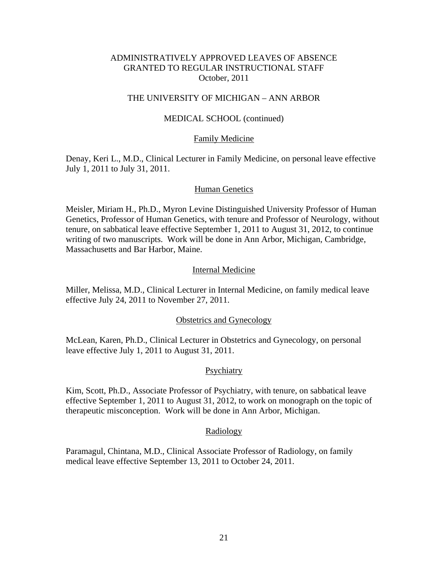### THE UNIVERSITY OF MICHIGAN – ANN ARBOR

#### MEDICAL SCHOOL (continued)

#### Family Medicine

Denay, Keri L., M.D., Clinical Lecturer in Family Medicine, on personal leave effective July 1, 2011 to July 31, 2011.

### **Human Genetics**

Meisler, Miriam H., Ph.D., Myron Levine Distinguished University Professor of Human Genetics, Professor of Human Genetics, with tenure and Professor of Neurology, without tenure, on sabbatical leave effective September 1, 2011 to August 31, 2012, to continue writing of two manuscripts. Work will be done in Ann Arbor, Michigan, Cambridge, Massachusetts and Bar Harbor, Maine.

### Internal Medicine

Miller, Melissa, M.D., Clinical Lecturer in Internal Medicine, on family medical leave effective July 24, 2011 to November 27, 2011.

#### Obstetrics and Gynecology

McLean, Karen, Ph.D., Clinical Lecturer in Obstetrics and Gynecology, on personal leave effective July 1, 2011 to August 31, 2011.

#### Psychiatry

Kim, Scott, Ph.D., Associate Professor of Psychiatry, with tenure, on sabbatical leave effective September 1, 2011 to August 31, 2012, to work on monograph on the topic of therapeutic misconception. Work will be done in Ann Arbor, Michigan.

### Radiology

Paramagul, Chintana, M.D., Clinical Associate Professor of Radiology, on family medical leave effective September 13, 2011 to October 24, 2011.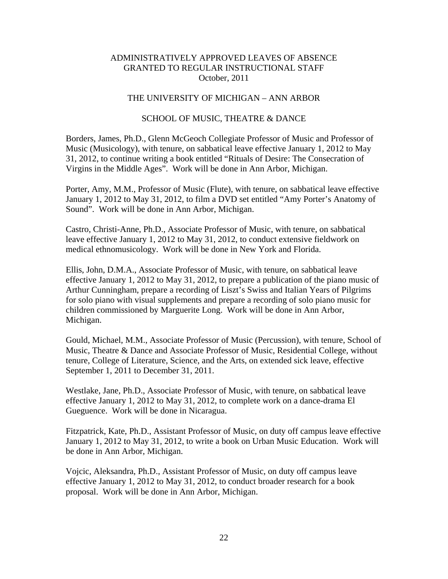### THE UNIVERSITY OF MICHIGAN – ANN ARBOR

### SCHOOL OF MUSIC, THEATRE & DANCE

Borders, James, Ph.D., Glenn McGeoch Collegiate Professor of Music and Professor of Music (Musicology), with tenure, on sabbatical leave effective January 1, 2012 to May 31, 2012, to continue writing a book entitled "Rituals of Desire: The Consecration of Virgins in the Middle Ages". Work will be done in Ann Arbor, Michigan.

Porter, Amy, M.M., Professor of Music (Flute), with tenure, on sabbatical leave effective January 1, 2012 to May 31, 2012, to film a DVD set entitled "Amy Porter's Anatomy of Sound". Work will be done in Ann Arbor, Michigan.

Castro, Christi-Anne, Ph.D., Associate Professor of Music, with tenure, on sabbatical leave effective January 1, 2012 to May 31, 2012, to conduct extensive fieldwork on medical ethnomusicology. Work will be done in New York and Florida.

Ellis, John, D.M.A., Associate Professor of Music, with tenure, on sabbatical leave effective January 1, 2012 to May 31, 2012, to prepare a publication of the piano music of Arthur Cunningham, prepare a recording of Liszt's Swiss and Italian Years of Pilgrims for solo piano with visual supplements and prepare a recording of solo piano music for children commissioned by Marguerite Long. Work will be done in Ann Arbor, Michigan.

Gould, Michael, M.M., Associate Professor of Music (Percussion), with tenure, School of Music, Theatre & Dance and Associate Professor of Music, Residential College, without tenure, College of Literature, Science, and the Arts, on extended sick leave, effective September 1, 2011 to December 31, 2011.

Westlake, Jane, Ph.D., Associate Professor of Music, with tenure, on sabbatical leave effective January 1, 2012 to May 31, 2012, to complete work on a dance-drama El Gueguence. Work will be done in Nicaragua.

Fitzpatrick, Kate, Ph.D., Assistant Professor of Music, on duty off campus leave effective January 1, 2012 to May 31, 2012, to write a book on Urban Music Education. Work will be done in Ann Arbor, Michigan.

Vojcic, Aleksandra, Ph.D., Assistant Professor of Music, on duty off campus leave effective January 1, 2012 to May 31, 2012, to conduct broader research for a book proposal. Work will be done in Ann Arbor, Michigan.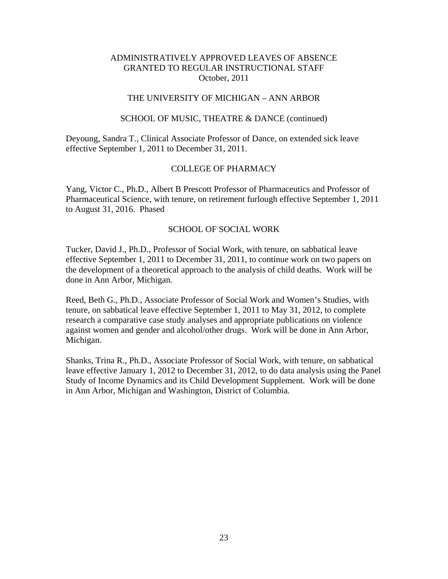### THE UNIVERSITY OF MICHIGAN – ANN ARBOR

### SCHOOL OF MUSIC, THEATRE & DANCE (continued)

Deyoung, Sandra T., Clinical Associate Professor of Dance, on extended sick leave effective September 1, 2011 to December 31, 2011.

## COLLEGE OF PHARMACY

Yang, Victor C., Ph.D., Albert B Prescott Professor of Pharmaceutics and Professor of Pharmaceutical Science, with tenure, on retirement furlough effective September 1, 2011 to August 31, 2016. Phased

### SCHOOL OF SOCIAL WORK

Tucker, David J., Ph.D., Professor of Social Work, with tenure, on sabbatical leave effective September 1, 2011 to December 31, 2011, to continue work on two papers on the development of a theoretical approach to the analysis of child deaths. Work will be done in Ann Arbor, Michigan.

Reed, Beth G., Ph.D., Associate Professor of Social Work and Women's Studies, with tenure, on sabbatical leave effective September 1, 2011 to May 31, 2012, to complete research a comparative case study analyses and appropriate publications on violence against women and gender and alcohol/other drugs. Work will be done in Ann Arbor, Michigan.

Shanks, Trina R., Ph.D., Associate Professor of Social Work, with tenure, on sabbatical leave effective January 1, 2012 to December 31, 2012, to do data analysis using the Panel Study of Income Dynamics and its Child Development Supplement. Work will be done in Ann Arbor, Michigan and Washington, District of Columbia.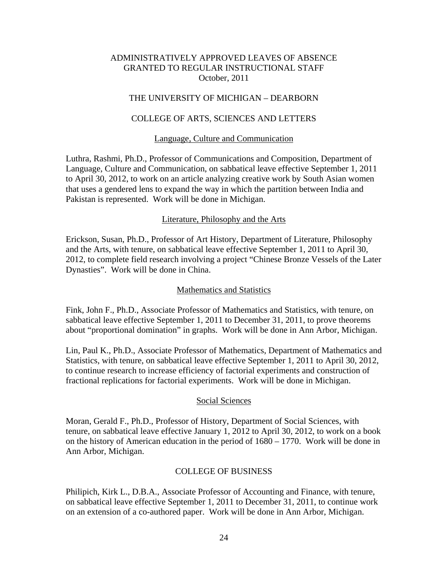### THE UNIVERSITY OF MICHIGAN – DEARBORN

### COLLEGE OF ARTS, SCIENCES AND LETTERS

### Language, Culture and Communication

Luthra, Rashmi, Ph.D., Professor of Communications and Composition, Department of Language, Culture and Communication, on sabbatical leave effective September 1, 2011 to April 30, 2012, to work on an article analyzing creative work by South Asian women that uses a gendered lens to expand the way in which the partition between India and Pakistan is represented. Work will be done in Michigan.

### Literature, Philosophy and the Arts

Erickson, Susan, Ph.D., Professor of Art History, Department of Literature, Philosophy and the Arts, with tenure, on sabbatical leave effective September 1, 2011 to April 30, 2012, to complete field research involving a project "Chinese Bronze Vessels of the Later Dynasties". Work will be done in China.

#### Mathematics and Statistics

Fink, John F., Ph.D., Associate Professor of Mathematics and Statistics, with tenure, on sabbatical leave effective September 1, 2011 to December 31, 2011, to prove theorems about "proportional domination" in graphs. Work will be done in Ann Arbor, Michigan.

Lin, Paul K., Ph.D., Associate Professor of Mathematics, Department of Mathematics and Statistics, with tenure, on sabbatical leave effective September 1, 2011 to April 30, 2012, to continue research to increase efficiency of factorial experiments and construction of fractional replications for factorial experiments. Work will be done in Michigan.

#### Social Sciences

Moran, Gerald F., Ph.D., Professor of History, Department of Social Sciences, with tenure, on sabbatical leave effective January 1, 2012 to April 30, 2012, to work on a book on the history of American education in the period of 1680 – 1770. Work will be done in Ann Arbor, Michigan.

### COLLEGE OF BUSINESS

Philipich, Kirk L., D.B.A., Associate Professor of Accounting and Finance, with tenure, on sabbatical leave effective September 1, 2011 to December 31, 2011, to continue work on an extension of a co-authored paper. Work will be done in Ann Arbor, Michigan.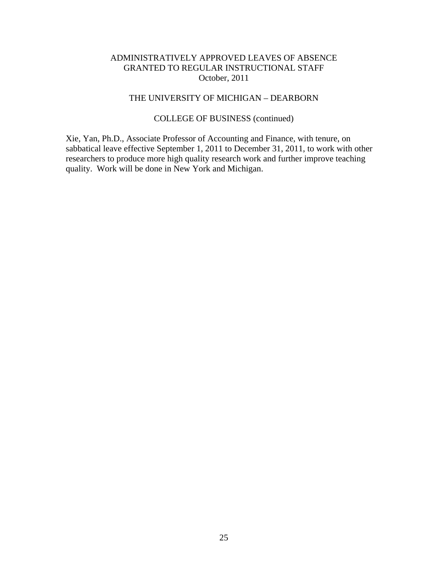# THE UNIVERSITY OF MICHIGAN – DEARBORN

# COLLEGE OF BUSINESS (continued)

Xie, Yan, Ph.D., Associate Professor of Accounting and Finance, with tenure, on sabbatical leave effective September 1, 2011 to December 31, 2011, to work with other researchers to produce more high quality research work and further improve teaching quality. Work will be done in New York and Michigan.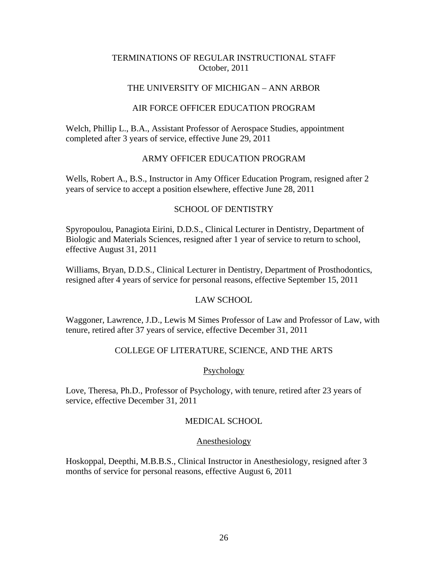## THE UNIVERSITY OF MICHIGAN – ANN ARBOR

### AIR FORCE OFFICER EDUCATION PROGRAM

Welch, Phillip L., B.A., Assistant Professor of Aerospace Studies, appointment completed after 3 years of service, effective June 29, 2011

### ARMY OFFICER EDUCATION PROGRAM

Wells, Robert A., B.S., Instructor in Amy Officer Education Program, resigned after 2 years of service to accept a position elsewhere, effective June 28, 2011

## SCHOOL OF DENTISTRY

Spyropoulou, Panagiota Eirini, D.D.S., Clinical Lecturer in Dentistry, Department of Biologic and Materials Sciences, resigned after 1 year of service to return to school, effective August 31, 2011

Williams, Bryan, D.D.S., Clinical Lecturer in Dentistry, Department of Prosthodontics, resigned after 4 years of service for personal reasons, effective September 15, 2011

## LAW SCHOOL

Waggoner, Lawrence, J.D., Lewis M Simes Professor of Law and Professor of Law, with tenure, retired after 37 years of service, effective December 31, 2011

# COLLEGE OF LITERATURE, SCIENCE, AND THE ARTS

### Psychology

Love, Theresa, Ph.D., Professor of Psychology, with tenure, retired after 23 years of service, effective December 31, 2011

### MEDICAL SCHOOL

### Anesthesiology

Hoskoppal, Deepthi, M.B.B.S., Clinical Instructor in Anesthesiology, resigned after 3 months of service for personal reasons, effective August 6, 2011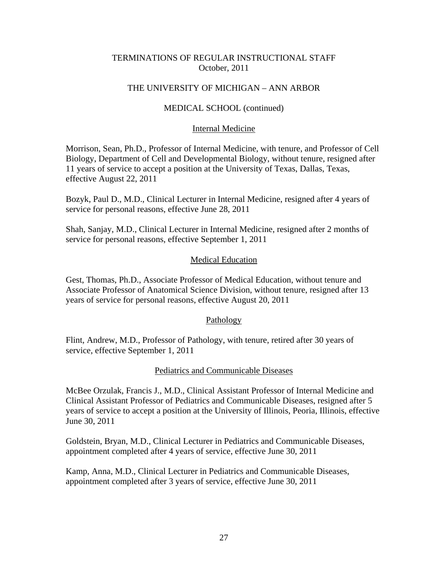# THE UNIVERSITY OF MICHIGAN – ANN ARBOR

# MEDICAL SCHOOL (continued)

## Internal Medicine

Morrison, Sean, Ph.D., Professor of Internal Medicine, with tenure, and Professor of Cell Biology, Department of Cell and Developmental Biology, without tenure, resigned after 11 years of service to accept a position at the University of Texas, Dallas, Texas, effective August 22, 2011

Bozyk, Paul D., M.D., Clinical Lecturer in Internal Medicine, resigned after 4 years of service for personal reasons, effective June 28, 2011

Shah, Sanjay, M.D., Clinical Lecturer in Internal Medicine, resigned after 2 months of service for personal reasons, effective September 1, 2011

## Medical Education

Gest, Thomas, Ph.D., Associate Professor of Medical Education, without tenure and Associate Professor of Anatomical Science Division, without tenure, resigned after 13 years of service for personal reasons, effective August 20, 2011

## Pathology

Flint, Andrew, M.D., Professor of Pathology, with tenure, retired after 30 years of service, effective September 1, 2011

## Pediatrics and Communicable Diseases

McBee Orzulak, Francis J., M.D., Clinical Assistant Professor of Internal Medicine and Clinical Assistant Professor of Pediatrics and Communicable Diseases, resigned after 5 years of service to accept a position at the University of Illinois, Peoria, Illinois, effective June 30, 2011

Goldstein, Bryan, M.D., Clinical Lecturer in Pediatrics and Communicable Diseases, appointment completed after 4 years of service, effective June 30, 2011

Kamp, Anna, M.D., Clinical Lecturer in Pediatrics and Communicable Diseases, appointment completed after 3 years of service, effective June 30, 2011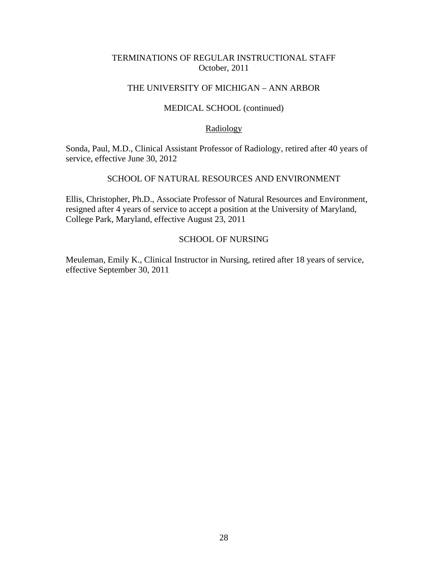# THE UNIVERSITY OF MICHIGAN – ANN ARBOR

# MEDICAL SCHOOL (continued)

## **Radiology**

Sonda, Paul, M.D., Clinical Assistant Professor of Radiology, retired after 40 years of service, effective June 30, 2012

## SCHOOL OF NATURAL RESOURCES AND ENVIRONMENT

Ellis, Christopher, Ph.D., Associate Professor of Natural Resources and Environment, resigned after 4 years of service to accept a position at the University of Maryland, College Park, Maryland, effective August 23, 2011

## SCHOOL OF NURSING

Meuleman, Emily K., Clinical Instructor in Nursing, retired after 18 years of service, effective September 30, 2011